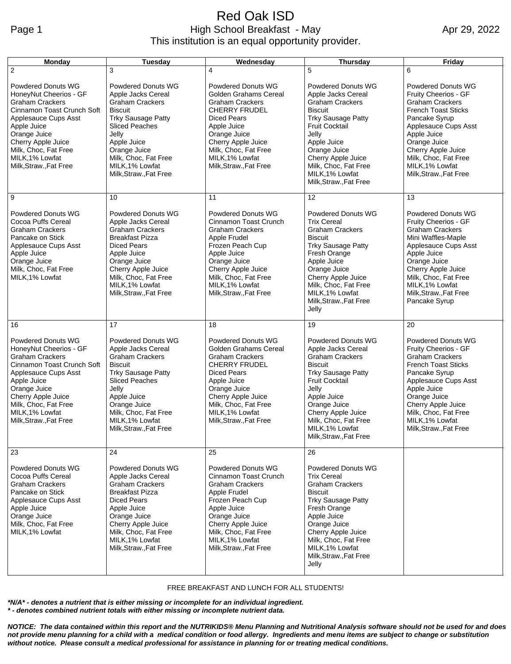#### Red Oak ISD Page 1 **High School Breakfast - May** This institution is an equal opportunity provider.

Apr 29, 2022

| Monday                                                                                                                                                                                                                                                        | Tuesday                                                                                                                                                                                                                                                 | Wednesday                                                                                                                                                                                                                                     | <b>Thursday</b>                                                                                                                                                                                                                                                                      | Friday                                                                                                                                                                                                                                                                       |
|---------------------------------------------------------------------------------------------------------------------------------------------------------------------------------------------------------------------------------------------------------------|---------------------------------------------------------------------------------------------------------------------------------------------------------------------------------------------------------------------------------------------------------|-----------------------------------------------------------------------------------------------------------------------------------------------------------------------------------------------------------------------------------------------|--------------------------------------------------------------------------------------------------------------------------------------------------------------------------------------------------------------------------------------------------------------------------------------|------------------------------------------------------------------------------------------------------------------------------------------------------------------------------------------------------------------------------------------------------------------------------|
| $\overline{2}$                                                                                                                                                                                                                                                | 3                                                                                                                                                                                                                                                       | 4                                                                                                                                                                                                                                             | 5                                                                                                                                                                                                                                                                                    | 6                                                                                                                                                                                                                                                                            |
| <b>Powdered Donuts WG</b><br>HoneyNut Cheerios - GF<br><b>Graham Crackers</b><br>Cinnamon Toast Crunch Soft<br>Applesauce Cups Asst<br>Apple Juice<br>Orange Juice<br>Cherry Apple Juice<br>Milk, Choc, Fat Free<br>MILK, 1% Lowfat<br>Milk, Straw., Fat Free | <b>Powdered Donuts WG</b><br>Apple Jacks Cereal<br><b>Graham Crackers</b><br><b>Biscuit</b><br><b>Trky Sausage Patty</b><br>Sliced Peaches<br>Jelly<br>Apple Juice<br>Orange Juice<br>Milk, Choc, Fat Free<br>MILK, 1% Lowfat<br>Milk, Straw., Fat Free | <b>Powdered Donuts WG</b><br>Golden Grahams Cereal<br><b>Graham Crackers</b><br><b>CHERRY FRUDEL</b><br>Diced Pears<br>Apple Juice<br>Orange Juice<br>Cherry Apple Juice<br>Milk, Choc, Fat Free<br>MILK, 1% Lowfat<br>Milk, Straw., Fat Free | <b>Powdered Donuts WG</b><br>Apple Jacks Cereal<br><b>Graham Crackers</b><br><b>Biscuit</b><br><b>Trky Sausage Patty</b><br><b>Fruit Cocktail</b><br>Jelly<br>Apple Juice<br>Orange Juice<br>Cherry Apple Juice<br>Milk, Choc, Fat Free<br>MILK, 1% Lowfat<br>Milk, Straw., Fat Free | <b>Powdered Donuts WG</b><br>Fruity Cheerios - GF<br><b>Graham Crackers</b><br><b>French Toast Sticks</b><br>Pancake Syrup<br>Applesauce Cups Asst<br>Apple Juice<br>Orange Juice<br>Cherry Apple Juice<br>Milk, Choc, Fat Free<br>MILK, 1% Lowfat<br>Milk, Straw., Fat Free |
| 9                                                                                                                                                                                                                                                             | 10                                                                                                                                                                                                                                                      | 11                                                                                                                                                                                                                                            | 12                                                                                                                                                                                                                                                                                   | 13                                                                                                                                                                                                                                                                           |
| Powdered Donuts WG<br>Cocoa Puffs Cereal<br><b>Graham Crackers</b><br>Pancake on Stick<br>Applesauce Cups Asst<br>Apple Juice<br>Orange Juice<br>Milk, Choc, Fat Free<br>MILK, 1% Lowfat                                                                      | <b>Powdered Donuts WG</b><br>Apple Jacks Cereal<br><b>Graham Crackers</b><br><b>Breakfast Pizza</b><br><b>Diced Pears</b><br>Apple Juice<br>Orange Juice<br>Cherry Apple Juice<br>Milk, Choc, Fat Free<br>MILK, 1% Lowfat<br>Milk, Straw., Fat Free     | <b>Powdered Donuts WG</b><br>Cinnamon Toast Crunch<br><b>Graham Crackers</b><br>Apple Frudel<br>Frozen Peach Cup<br>Apple Juice<br>Orange Juice<br>Cherry Apple Juice<br>Milk, Choc, Fat Free<br>MILK, 1% Lowfat<br>Milk, Straw., Fat Free    | <b>Powdered Donuts WG</b><br><b>Trix Cereal</b><br><b>Graham Crackers</b><br><b>Biscuit</b><br><b>Trky Sausage Patty</b><br>Fresh Orange<br>Apple Juice<br>Orange Juice<br>Cherry Apple Juice<br>Milk, Choc, Fat Free<br>MILK.1% Lowfat<br>Milk, Straw., Fat Free<br>Jelly           | <b>Powdered Donuts WG</b><br>Fruity Cheerios - GF<br><b>Graham Crackers</b><br>Mini Waffles-Maple<br>Applesauce Cups Asst<br>Apple Juice<br>Orange Juice<br>Cherry Apple Juice<br>Milk, Choc, Fat Free<br>MILK, 1% Lowfat<br>Milk, Straw., Fat Free<br>Pancake Syrup         |
| 16                                                                                                                                                                                                                                                            | 17                                                                                                                                                                                                                                                      | 18                                                                                                                                                                                                                                            | 19                                                                                                                                                                                                                                                                                   | 20                                                                                                                                                                                                                                                                           |
| <b>Powdered Donuts WG</b><br>HoneyNut Cheerios - GF<br><b>Graham Crackers</b><br>Cinnamon Toast Crunch Soft<br>Applesauce Cups Asst<br>Apple Juice<br>Orange Juice<br>Cherry Apple Juice<br>Milk, Choc, Fat Free<br>MILK, 1% Lowfat<br>Milk, Straw., Fat Free | Powdered Donuts WG<br>Apple Jacks Cereal<br><b>Graham Crackers</b><br><b>Biscuit</b><br><b>Trky Sausage Patty</b><br><b>Sliced Peaches</b><br>Jelly<br>Apple Juice<br>Orange Juice<br>Milk, Choc, Fat Free<br>MILK, 1% Lowfat<br>Milk, Straw., Fat Free | <b>Powdered Donuts WG</b><br>Golden Grahams Cereal<br><b>Graham Crackers</b><br><b>CHERRY FRUDEL</b><br>Diced Pears<br>Apple Juice<br>Orange Juice<br>Cherry Apple Juice<br>Milk, Choc, Fat Free<br>MILK, 1% Lowfat<br>Milk, Straw., Fat Free | <b>Powdered Donuts WG</b><br>Apple Jacks Cereal<br><b>Graham Crackers</b><br><b>Biscuit</b><br><b>Trky Sausage Patty</b><br><b>Fruit Cocktail</b><br>Jelly<br>Apple Juice<br>Orange Juice<br>Cherry Apple Juice<br>Milk, Choc, Fat Free<br>MILK, 1% Lowfat<br>Milk, Straw., Fat Free | Powdered Donuts WG<br>Fruity Cheerios - GF<br><b>Graham Crackers</b><br><b>French Toast Sticks</b><br>Pancake Syrup<br>Applesauce Cups Asst<br>Apple Juice<br>Orange Juice<br>Cherry Apple Juice<br>Milk, Choc, Fat Free<br>MILK, 1% Lowfat<br>Milk, Straw., Fat Free        |
| 23                                                                                                                                                                                                                                                            | 24                                                                                                                                                                                                                                                      | 25                                                                                                                                                                                                                                            | 26                                                                                                                                                                                                                                                                                   |                                                                                                                                                                                                                                                                              |
| <b>Powdered Donuts WG</b><br>Cocoa Puffs Cereal<br><b>Graham Crackers</b><br>Pancake on Stick<br>Applesauce Cups Asst<br>Apple Juice<br>Orange Juice<br>Milk, Choc, Fat Free<br>MILK, 1% Lowfat                                                               | <b>Powdered Donuts WG</b><br>Apple Jacks Cereal<br><b>Graham Crackers</b><br><b>Breakfast Pizza</b><br><b>Diced Pears</b><br>Apple Juice<br>Orange Juice<br>Cherry Apple Juice<br>Milk, Choc, Fat Free<br>MILK, 1% Lowfat<br>Milk, Straw., Fat Free     | <b>Powdered Donuts WG</b><br>Cinnamon Toast Crunch<br><b>Graham Crackers</b><br>Apple Frudel<br>Frozen Peach Cup<br>Apple Juice<br>Orange Juice<br>Cherry Apple Juice<br>Milk, Choc, Fat Free<br>MILK, 1% Lowfat<br>Milk, Straw., Fat Free    | Powdered Donuts WG<br><b>Trix Cereal</b><br><b>Graham Crackers</b><br><b>Biscuit</b><br><b>Trky Sausage Patty</b><br>Fresh Orange<br>Apple Juice<br>Orange Juice<br>Cherry Apple Juice<br>Milk, Choc, Fat Free<br>MILK, 1% Lowfat<br>Milk, Straw., Fat Free<br>Jelly                 |                                                                                                                                                                                                                                                                              |

FREE BREAKFAST AND LUNCH FOR ALL STUDENTS!

*\*N/A\* - denotes a nutrient that is either missing or incomplete for an individual ingredient.*

*\* - denotes combined nutrient totals with either missing or incomplete nutrient data.*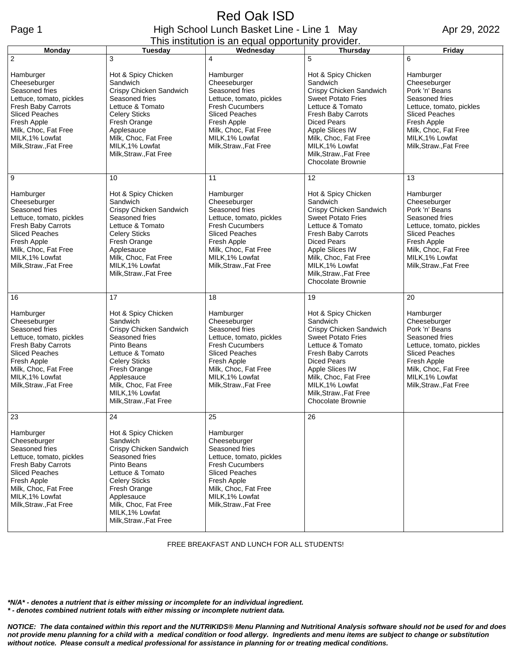## Red Oak ISD Page 1 **High School Lunch Basket Line - Line 1 May** This institution is an equal opportunity provider.

Apr 29, 2022

| <b>Monday</b>                                                                                                                                                                                              | <b>Tuesday</b>                                                                                                                                                                                                                             | Wednesday                                                                                                                                                                                                      | <b>Thursday</b>                                                                                                                                                                                                                                                                           | Friday                                                                                                                                                                                                 |
|------------------------------------------------------------------------------------------------------------------------------------------------------------------------------------------------------------|--------------------------------------------------------------------------------------------------------------------------------------------------------------------------------------------------------------------------------------------|----------------------------------------------------------------------------------------------------------------------------------------------------------------------------------------------------------------|-------------------------------------------------------------------------------------------------------------------------------------------------------------------------------------------------------------------------------------------------------------------------------------------|--------------------------------------------------------------------------------------------------------------------------------------------------------------------------------------------------------|
| $\overline{c}$                                                                                                                                                                                             | 3                                                                                                                                                                                                                                          | 4                                                                                                                                                                                                              | 5                                                                                                                                                                                                                                                                                         | 6                                                                                                                                                                                                      |
| Hamburger<br>Cheeseburger<br>Seasoned fries<br>Lettuce, tomato, pickles<br>Fresh Baby Carrots<br><b>Sliced Peaches</b><br>Fresh Apple<br>Milk, Choc, Fat Free<br>MILK, 1% Lowfat<br>Milk, Straw., Fat Free | Hot & Spicy Chicken<br>Sandwich<br>Crispy Chicken Sandwich<br>Seasoned fries<br>Lettuce & Tomato<br><b>Celery Sticks</b><br>Fresh Orange<br>Applesauce<br>Milk, Choc, Fat Free<br>MILK, 1% Lowfat<br>Milk, Straw., Fat Free                | Hamburger<br>Cheeseburger<br>Seasoned fries<br>Lettuce, tomato, pickles<br><b>Fresh Cucumbers</b><br><b>Sliced Peaches</b><br>Fresh Apple<br>Milk, Choc, Fat Free<br>MILK, 1% Lowfat<br>Milk, Straw., Fat Free | Hot & Spicy Chicken<br>Sandwich<br>Crispy Chicken Sandwich<br><b>Sweet Potato Fries</b><br>Lettuce & Tomato<br><b>Fresh Baby Carrots</b><br><b>Diced Pears</b><br>Apple Slices IW<br>Milk, Choc, Fat Free<br>MILK, 1% Lowfat<br>Milk, Straw., Fat Free<br>Chocolate Brownie               | Hamburger<br>Cheeseburger<br>Pork 'n' Beans<br>Seasoned fries<br>Lettuce, tomato, pickles<br><b>Sliced Peaches</b><br>Fresh Apple<br>Milk, Choc, Fat Free<br>MILK, 1% Lowfat<br>Milk, Straw., Fat Free |
| 9                                                                                                                                                                                                          | 10                                                                                                                                                                                                                                         | 11                                                                                                                                                                                                             | 12                                                                                                                                                                                                                                                                                        | 13                                                                                                                                                                                                     |
| Hamburger<br>Cheeseburger<br>Seasoned fries<br>Lettuce, tomato, pickles<br>Fresh Baby Carrots<br><b>Sliced Peaches</b><br>Fresh Apple<br>Milk, Choc, Fat Free<br>MILK.1% Lowfat<br>Milk, Straw., Fat Free  | Hot & Spicy Chicken<br>Sandwich<br>Crispy Chicken Sandwich<br>Seasoned fries<br>Lettuce & Tomato<br><b>Celery Sticks</b><br>Fresh Orange<br>Applesauce<br>Milk, Choc, Fat Free<br>MILK, 1% Lowfat<br>Milk, Straw., Fat Free                | Hamburger<br>Cheeseburger<br>Seasoned fries<br>Lettuce, tomato, pickles<br><b>Fresh Cucumbers</b><br><b>Sliced Peaches</b><br>Fresh Apple<br>Milk, Choc, Fat Free<br>MILK, 1% Lowfat<br>Milk, Straw., Fat Free | Hot & Spicy Chicken<br>Sandwich<br>Crispy Chicken Sandwich<br><b>Sweet Potato Fries</b><br>Lettuce & Tomato<br><b>Fresh Baby Carrots</b><br><b>Diced Pears</b><br><b>Apple Slices IW</b><br>Milk, Choc, Fat Free<br>MILK, 1% Lowfat<br>Milk, Straw., Fat Free<br><b>Chocolate Brownie</b> | Hamburger<br>Cheeseburger<br>Pork 'n' Beans<br>Seasoned fries<br>Lettuce, tomato, pickles<br><b>Sliced Peaches</b><br>Fresh Apple<br>Milk, Choc, Fat Free<br>MILK, 1% Lowfat<br>Milk, Straw., Fat Free |
| 16                                                                                                                                                                                                         | 17                                                                                                                                                                                                                                         | 18                                                                                                                                                                                                             | 19                                                                                                                                                                                                                                                                                        | 20                                                                                                                                                                                                     |
| Hamburger<br>Cheeseburger<br>Seasoned fries<br>Lettuce, tomato, pickles<br>Fresh Baby Carrots<br><b>Sliced Peaches</b><br>Fresh Apple<br>Milk, Choc, Fat Free<br>MILK, 1% Lowfat<br>Milk, Straw., Fat Free | Hot & Spicy Chicken<br>Sandwich<br>Crispy Chicken Sandwich<br>Seasoned fries<br>Pinto Beans<br>Lettuce & Tomato<br><b>Celery Sticks</b><br>Fresh Orange<br>Applesauce<br>Milk, Choc, Fat Free<br>MILK, 1% Lowfat<br>Milk, Straw., Fat Free | Hamburger<br>Cheeseburger<br>Seasoned fries<br>Lettuce, tomato, pickles<br><b>Fresh Cucumbers</b><br><b>Sliced Peaches</b><br>Fresh Apple<br>Milk, Choc, Fat Free<br>MILK, 1% Lowfat<br>Milk, Straw., Fat Free | Hot & Spicy Chicken<br>Sandwich<br>Crispy Chicken Sandwich<br><b>Sweet Potato Fries</b><br>Lettuce & Tomato<br>Fresh Baby Carrots<br><b>Diced Pears</b><br><b>Apple Slices IW</b><br>Milk, Choc, Fat Free<br>MILK, 1% Lowfat<br>Milk, Straw., Fat Free<br><b>Chocolate Brownie</b>        | Hamburger<br>Cheeseburger<br>Pork 'n' Beans<br>Seasoned fries<br>Lettuce, tomato, pickles<br><b>Sliced Peaches</b><br>Fresh Apple<br>Milk, Choc, Fat Free<br>MILK, 1% Lowfat<br>Milk, Straw., Fat Free |
| 23                                                                                                                                                                                                         | 24                                                                                                                                                                                                                                         | 25                                                                                                                                                                                                             | 26                                                                                                                                                                                                                                                                                        |                                                                                                                                                                                                        |
| Hamburger<br>Cheeseburger<br>Seasoned fries<br>Lettuce, tomato, pickles<br>Fresh Baby Carrots<br><b>Sliced Peaches</b><br>Fresh Apple<br>Milk, Choc, Fat Free<br>MILK, 1% Lowfat<br>Milk, Straw., Fat Free | Hot & Spicy Chicken<br>Sandwich<br>Crispy Chicken Sandwich<br>Seasoned fries<br>Pinto Beans<br>Lettuce & Tomato<br><b>Celery Sticks</b><br>Fresh Orange<br>Applesauce<br>Milk, Choc, Fat Free<br>MILK, 1% Lowfat<br>Milk, Straw., Fat Free | Hamburger<br>Cheeseburger<br>Seasoned fries<br>Lettuce, tomato, pickles<br><b>Fresh Cucumbers</b><br><b>Sliced Peaches</b><br>Fresh Apple<br>Milk, Choc, Fat Free<br>MILK, 1% Lowfat<br>Milk, Straw., Fat Free |                                                                                                                                                                                                                                                                                           |                                                                                                                                                                                                        |

FREE BREAKFAST AND LUNCH FOR ALL STUDENTS!

*\*N/A\* - denotes a nutrient that is either missing or incomplete for an individual ingredient. \* - denotes combined nutrient totals with either missing or incomplete nutrient data.*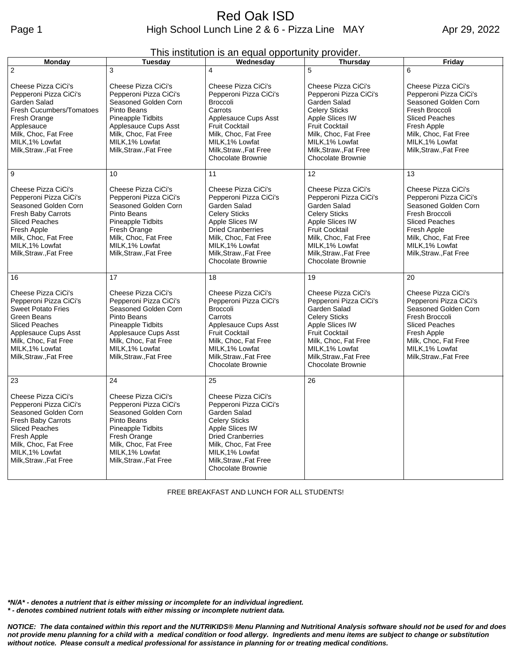| This institution is an equal opportunity provider. |  |  |
|----------------------------------------------------|--|--|
|                                                    |  |  |

| <b>Monday</b>                                                                                                                                                                                                   | <b>Tuesday</b>                                                                                                                                                                                         | Wednesday                                                                                                                                                                                                                             | <b>Thursday</b>                                                                                                                                                                                                                    | Friday                                                                                                                                                                                               |
|-----------------------------------------------------------------------------------------------------------------------------------------------------------------------------------------------------------------|--------------------------------------------------------------------------------------------------------------------------------------------------------------------------------------------------------|---------------------------------------------------------------------------------------------------------------------------------------------------------------------------------------------------------------------------------------|------------------------------------------------------------------------------------------------------------------------------------------------------------------------------------------------------------------------------------|------------------------------------------------------------------------------------------------------------------------------------------------------------------------------------------------------|
| $\overline{2}$                                                                                                                                                                                                  | 3                                                                                                                                                                                                      | 4                                                                                                                                                                                                                                     | 5                                                                                                                                                                                                                                  | 6                                                                                                                                                                                                    |
| Cheese Pizza CiCi's<br>Pepperoni Pizza CiCi's<br>Garden Salad<br>Fresh Cucumbers/Tomatoes<br>Fresh Orange<br>Applesauce<br>Milk, Choc, Fat Free<br>MILK, 1% Lowfat<br>Milk, Straw., Fat Free                    | Cheese Pizza CiCi's<br>Pepperoni Pizza CiCi's<br>Seasoned Golden Corn<br>Pinto Beans<br>Pineapple Tidbits<br>Applesauce Cups Asst<br>Milk, Choc, Fat Free<br>MILK.1% Lowfat<br>Milk, Straw., Fat Free  | Cheese Pizza CiCi's<br>Pepperoni Pizza CiCi's<br><b>Broccoli</b><br>Carrots<br>Applesauce Cups Asst<br><b>Fruit Cocktail</b><br>Milk, Choc, Fat Free<br>MILK, 1% Lowfat<br>Milk, Straw., Fat Free<br><b>Chocolate Brownie</b>         | Cheese Pizza CiCi's<br>Pepperoni Pizza CiCi's<br>Garden Salad<br><b>Celery Sticks</b><br>Apple Slices IW<br><b>Fruit Cocktail</b><br>Milk, Choc, Fat Free<br>MILK, 1% Lowfat<br>Milk, Straw., Fat Free<br>Chocolate Brownie        | Cheese Pizza CiCi's<br>Pepperoni Pizza CiCi's<br>Seasoned Golden Corn<br>Fresh Broccoli<br><b>Sliced Peaches</b><br>Fresh Apple<br>Milk, Choc, Fat Free<br>MILK, 1% Lowfat<br>Milk, Straw., Fat Free |
| 9                                                                                                                                                                                                               | 10                                                                                                                                                                                                     | 11                                                                                                                                                                                                                                    | 12                                                                                                                                                                                                                                 | 13                                                                                                                                                                                                   |
| Cheese Pizza CiCi's<br>Pepperoni Pizza CiCi's<br>Seasoned Golden Corn<br>Fresh Baby Carrots<br><b>Sliced Peaches</b><br>Fresh Apple<br>Milk, Choc, Fat Free<br>MILK, 1% Lowfat<br>Milk, Straw., Fat Free        | Cheese Pizza CiCi's<br>Pepperoni Pizza CiCi's<br>Seasoned Golden Corn<br>Pinto Beans<br>Pineapple Tidbits<br>Fresh Orange<br>Milk, Choc, Fat Free<br>MILK, 1% Lowfat<br>Milk, Straw., Fat Free         | Cheese Pizza CiCi's<br>Pepperoni Pizza CiCi's<br>Garden Salad<br><b>Celery Sticks</b><br>Apple Slices IW<br><b>Dried Cranberries</b><br>Milk, Choc, Fat Free<br>MILK, 1% Lowfat<br>Milk, Straw., Fat Free<br><b>Chocolate Brownie</b> | Cheese Pizza CiCi's<br>Pepperoni Pizza CiCi's<br>Garden Salad<br><b>Celery Sticks</b><br>Apple Slices IW<br><b>Fruit Cocktail</b><br>Milk, Choc, Fat Free<br>MILK, 1% Lowfat<br>Milk, Straw., Fat Free<br>Chocolate Brownie        | Cheese Pizza CiCi's<br>Pepperoni Pizza CiCi's<br>Seasoned Golden Corn<br>Fresh Broccoli<br><b>Sliced Peaches</b><br>Fresh Apple<br>Milk, Choc, Fat Free<br>MILK, 1% Lowfat<br>Milk, Straw., Fat Free |
| 16                                                                                                                                                                                                              | 17                                                                                                                                                                                                     | 18                                                                                                                                                                                                                                    | 19                                                                                                                                                                                                                                 | 20                                                                                                                                                                                                   |
| Cheese Pizza CiCi's<br>Pepperoni Pizza CiCi's<br><b>Sweet Potato Fries</b><br>Green Beans<br><b>Sliced Peaches</b><br>Applesauce Cups Asst<br>Milk, Choc, Fat Free<br>MILK, 1% Lowfat<br>Milk, Straw., Fat Free | Cheese Pizza CiCi's<br>Pepperoni Pizza CiCi's<br>Seasoned Golden Corn<br>Pinto Beans<br>Pineapple Tidbits<br>Applesauce Cups Asst<br>Milk, Choc, Fat Free<br>MILK, 1% Lowfat<br>Milk, Straw., Fat Free | Cheese Pizza CiCi's<br>Pepperoni Pizza CiCi's<br><b>Broccoli</b><br>Carrots<br>Applesauce Cups Asst<br><b>Fruit Cocktail</b><br>Milk, Choc, Fat Free<br>MILK, 1% Lowfat<br>Milk, Straw., Fat Free<br><b>Chocolate Brownie</b>         | Cheese Pizza CiCi's<br>Pepperoni Pizza CiCi's<br>Garden Salad<br><b>Celery Sticks</b><br>Apple Slices IW<br><b>Fruit Cocktail</b><br>Milk, Choc, Fat Free<br>MILK, 1% Lowfat<br>Milk, Straw., Fat Free<br><b>Chocolate Brownie</b> | Cheese Pizza CiCi's<br>Pepperoni Pizza CiCi's<br>Seasoned Golden Corn<br>Fresh Broccoli<br><b>Sliced Peaches</b><br>Fresh Apple<br>Milk, Choc, Fat Free<br>MILK, 1% Lowfat<br>Milk, Straw., Fat Free |
| 23                                                                                                                                                                                                              | 24                                                                                                                                                                                                     | 25                                                                                                                                                                                                                                    | 26                                                                                                                                                                                                                                 |                                                                                                                                                                                                      |
| Cheese Pizza CiCi's<br>Pepperoni Pizza CiCi's<br>Seasoned Golden Corn<br><b>Fresh Baby Carrots</b><br><b>Sliced Peaches</b><br>Fresh Apple<br>Milk, Choc, Fat Free<br>MILK, 1% Lowfat<br>Milk, Straw., Fat Free | Cheese Pizza CiCi's<br>Pepperoni Pizza CiCi's<br>Seasoned Golden Corn<br>Pinto Beans<br>Pineapple Tidbits<br>Fresh Orange<br>Milk, Choc, Fat Free<br>MILK, 1% Lowfat<br>Milk, Straw., Fat Free         | Cheese Pizza CiCi's<br>Pepperoni Pizza CiCi's<br>Garden Salad<br><b>Celery Sticks</b><br>Apple Slices IW<br><b>Dried Cranberries</b><br>Milk, Choc, Fat Free<br>MILK, 1% Lowfat<br>Milk, Straw., Fat Free<br><b>Chocolate Brownie</b> |                                                                                                                                                                                                                                    |                                                                                                                                                                                                      |

FREE BREAKFAST AND LUNCH FOR ALL STUDENTS!

*\*N/A\* - denotes a nutrient that is either missing or incomplete for an individual ingredient. \* - denotes combined nutrient totals with either missing or incomplete nutrient data.*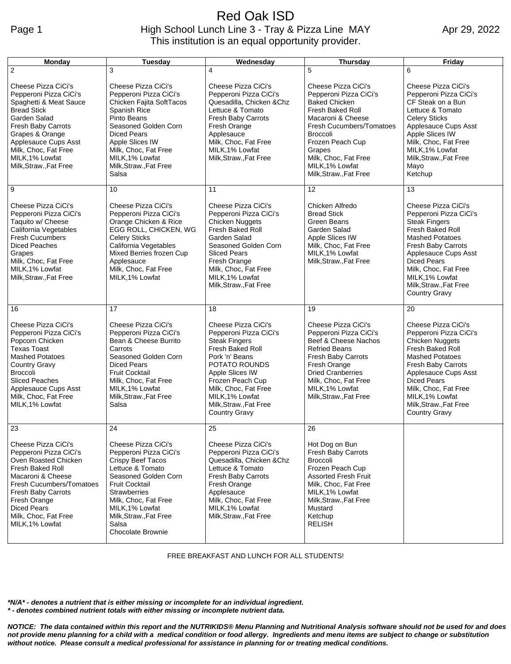## Red Oak ISD Page 1 **High School Lunch Line 3 - Tray & Pizza Line MAY** This institution is an equal opportunity provider.

Apr 29, 2022

| Monday                                                                                                                                                                                                                                                  | <b>Tuesday</b>                                                                                                                                                                                                                                                    | Wednesday                                                                                                                                                                                                                                                        | <b>Thursday</b>                                                                                                                                                                                                                                           | Friday                                                                                                                                                                                                                                                                               |
|---------------------------------------------------------------------------------------------------------------------------------------------------------------------------------------------------------------------------------------------------------|-------------------------------------------------------------------------------------------------------------------------------------------------------------------------------------------------------------------------------------------------------------------|------------------------------------------------------------------------------------------------------------------------------------------------------------------------------------------------------------------------------------------------------------------|-----------------------------------------------------------------------------------------------------------------------------------------------------------------------------------------------------------------------------------------------------------|--------------------------------------------------------------------------------------------------------------------------------------------------------------------------------------------------------------------------------------------------------------------------------------|
| $\overline{2}$                                                                                                                                                                                                                                          | 3                                                                                                                                                                                                                                                                 | 4                                                                                                                                                                                                                                                                | 5                                                                                                                                                                                                                                                         | 6                                                                                                                                                                                                                                                                                    |
| Cheese Pizza CiCi's<br>Pepperoni Pizza CiCi's<br>Spaghetti & Meat Sauce<br><b>Bread Stick</b><br>Garden Salad<br>Fresh Baby Carrots<br>Grapes & Orange<br>Applesauce Cups Asst<br>Milk, Choc, Fat Free<br>MILK, 1% Lowfat<br>Milk, Straw., Fat Free     | Cheese Pizza CiCi's<br>Pepperoni Pizza CiCi's<br>Chicken Fajita SoftTacos<br>Spanish Rice<br>Pinto Beans<br>Seasoned Golden Corn<br><b>Diced Pears</b><br>Apple Slices IW<br>Milk, Choc, Fat Free<br>MILK, 1% Lowfat<br>Milk, Straw., Fat Free<br>Salsa           | Cheese Pizza CiCi's<br>Pepperoni Pizza CiCi's<br>Quesadilla, Chicken & Chz<br>Lettuce & Tomato<br>Fresh Baby Carrots<br>Fresh Orange<br>Applesauce<br>Milk, Choc, Fat Free<br>MILK.1% Lowfat<br>Milk, Straw., Fat Free                                           | Cheese Pizza CiCi's<br>Pepperoni Pizza CiCi's<br><b>Baked Chicken</b><br>Fresh Baked Roll<br>Macaroni & Cheese<br>Fresh Cucumbers/Tomatoes<br>Broccoli<br>Frozen Peach Cup<br>Grapes<br>Milk, Choc, Fat Free<br>MILK, 1% Lowfat<br>Milk, Straw., Fat Free | Cheese Pizza CiCi's<br>Pepperoni Pizza CiCi's<br>CF Steak on a Bun<br>Lettuce & Tomato<br><b>Celery Sticks</b><br>Applesauce Cups Asst<br>Apple Slices IW<br>Milk, Choc, Fat Free<br>MILK, 1% Lowfat<br>Milk, Straw., Fat Free<br>Mayo<br>Ketchup                                    |
| 9                                                                                                                                                                                                                                                       | 10                                                                                                                                                                                                                                                                | 11                                                                                                                                                                                                                                                               | 12                                                                                                                                                                                                                                                        | 13                                                                                                                                                                                                                                                                                   |
| Cheese Pizza CiCi's<br>Pepperoni Pizza CiCi's<br>Taquito w/ Cheese<br>California Vegetables<br><b>Fresh Cucumbers</b><br><b>Diced Peaches</b><br>Grapes<br>Milk, Choc, Fat Free<br>MILK, 1% Lowfat<br>Milk, Straw., Fat Free                            | Cheese Pizza CiCi's<br>Pepperoni Pizza CiCi's<br>Orange Chicken & Rice<br>EGG ROLL, CHICKEN, WG<br><b>Celery Sticks</b><br>California Vegetables<br>Mixed Berries frozen Cup<br>Applesauce<br>Milk, Choc, Fat Free<br>MILK, 1% Lowfat                             | Cheese Pizza CiCi's<br>Pepperoni Pizza CiCi's<br><b>Chicken Nuggets</b><br>Fresh Baked Roll<br>Garden Salad<br>Seasoned Golden Corn<br><b>Sliced Pears</b><br>Fresh Orange<br>Milk, Choc, Fat Free<br>MILK, 1% Lowfat<br>Milk, Straw., Fat Free                  | Chicken Alfredo<br><b>Bread Stick</b><br>Green Beans<br>Garden Salad<br>Apple Slices IW<br>Milk, Choc, Fat Free<br>MILK, 1% Lowfat<br>Milk, Straw., Fat Free                                                                                              | Cheese Pizza CiCi's<br>Pepperoni Pizza CiCi's<br><b>Steak Fingers</b><br>Fresh Baked Roll<br><b>Mashed Potatoes</b><br>Fresh Baby Carrots<br>Applesauce Cups Asst<br><b>Diced Pears</b><br>Milk, Choc, Fat Free<br>MILK, 1% Lowfat<br>Milk, Straw., Fat Free<br><b>Country Gravy</b> |
| 16                                                                                                                                                                                                                                                      | 17                                                                                                                                                                                                                                                                | 18                                                                                                                                                                                                                                                               | 19                                                                                                                                                                                                                                                        | 20                                                                                                                                                                                                                                                                                   |
| Cheese Pizza CiCi's<br>Pepperoni Pizza CiCi's<br>Popcorn Chicken<br><b>Texas Toast</b><br><b>Mashed Potatoes</b><br><b>Country Gravy</b><br><b>Broccoli</b><br><b>Sliced Peaches</b><br>Applesauce Cups Asst<br>Milk, Choc, Fat Free<br>MILK, 1% Lowfat | Cheese Pizza CiCi's<br>Pepperoni Pizza CiCi's<br>Bean & Cheese Burrito<br>Carrots<br>Seasoned Golden Corn<br><b>Diced Pears</b><br><b>Fruit Cocktail</b><br>Milk, Choc, Fat Free<br>MILK, 1% Lowfat<br>Milk, Straw., Fat Free<br>Salsa                            | Cheese Pizza CiCi's<br>Pepperoni Pizza CiCi's<br><b>Steak Fingers</b><br>Fresh Baked Roll<br>Pork 'n' Beans<br>POTATO ROUNDS<br>Apple Slices IW<br>Frozen Peach Cup<br>Milk, Choc, Fat Free<br>MILK, 1% Lowfat<br>Milk, Straw., Fat Free<br><b>Country Gravy</b> | Cheese Pizza CiCi's<br>Pepperoni Pizza CiCi's<br>Beef & Cheese Nachos<br><b>Refried Beans</b><br>Fresh Baby Carrots<br>Fresh Orange<br><b>Dried Cranberries</b><br>Milk, Choc, Fat Free<br>MILK, 1% Lowfat<br>Milk, Straw., Fat Free                      | Cheese Pizza CiCi's<br>Pepperoni Pizza CiCi's<br>Chicken Nuggets<br>Fresh Baked Roll<br><b>Mashed Potatoes</b><br>Fresh Baby Carrots<br>Applesauce Cups Asst<br><b>Diced Pears</b><br>Milk, Choc, Fat Free<br>MILK, 1% Lowfat<br>Milk, Straw., Fat Free<br><b>Country Gravy</b>      |
| 23                                                                                                                                                                                                                                                      | 24                                                                                                                                                                                                                                                                | 25                                                                                                                                                                                                                                                               | 26                                                                                                                                                                                                                                                        |                                                                                                                                                                                                                                                                                      |
| Cheese Pizza CiCi's<br>Pepperoni Pizza CiCi's<br>Oven Roasted Chicken<br>Fresh Baked Roll<br>Macaroni & Cheese<br>Fresh Cucumbers/Tomatoes<br>Fresh Baby Carrots<br>Fresh Orange<br>Diced Pears<br>Milk, Choc, Fat Free<br>MILK, 1% Lowfat              | Cheese Pizza CiCi's<br>Pepperoni Pizza CiCi's<br>Crispy Beef Tacos<br>Lettuce & Tomato<br>Seasoned Golden Corn<br><b>Fruit Cocktail</b><br><b>Strawberries</b><br>Milk, Choc, Fat Free<br>MILK, 1% Lowfat<br>Milk, Straw., Fat Free<br>Salsa<br>Chocolate Brownie | Cheese Pizza CiCi's<br>Pepperoni Pizza CiCi's<br>Quesadilla, Chicken & Chz<br>Lettuce & Tomato<br>Fresh Baby Carrots<br>Fresh Orange<br>Applesauce<br>Milk, Choc, Fat Free<br>MILK, 1% Lowfat<br>Milk, Straw., Fat Free                                          | Hot Dog on Bun<br>Fresh Baby Carrots<br>Broccoli<br>Frozen Peach Cup<br><b>Assorted Fresh Fruit</b><br>Milk, Choc, Fat Free<br>MILK, 1% Lowfat<br>Milk, Straw., Fat Free<br>Mustard<br>Ketchup<br><b>RELISH</b>                                           |                                                                                                                                                                                                                                                                                      |

FREE BREAKFAST AND LUNCH FOR ALL STUDENTS!

*\*N/A\* - denotes a nutrient that is either missing or incomplete for an individual ingredient. \* - denotes combined nutrient totals with either missing or incomplete nutrient data.*